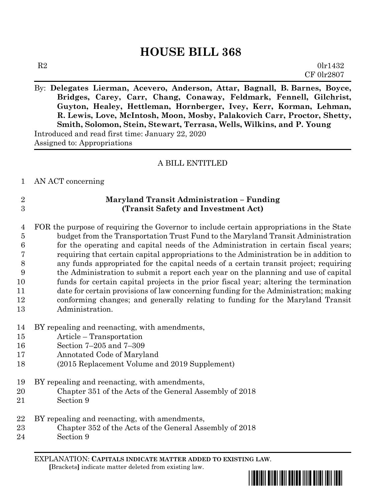# **HOUSE BILL 368**

By: **Delegates Lierman, Acevero, Anderson, Attar, Bagnall, B. Barnes, Boyce, Bridges, Carey, Carr, Chang, Conaway, Feldmark, Fennell, Gilchrist, Guyton, Healey, Hettleman, Hornberger, Ivey, Kerr, Korman, Lehman, R. Lewis, Love, McIntosh, Moon, Mosby, Palakovich Carr, Proctor, Shetty, Smith, Solomon, Stein, Stewart, Terrasa, Wells, Wilkins, and P. Young** Introduced and read first time: January 22, 2020 Assigned to: Appropriations

# A BILL ENTITLED

#### AN ACT concerning

# **Maryland Transit Administration – Funding (Transit Safety and Investment Act)**

 FOR the purpose of requiring the Governor to include certain appropriations in the State budget from the Transportation Trust Fund to the Maryland Transit Administration for the operating and capital needs of the Administration in certain fiscal years; requiring that certain capital appropriations to the Administration be in addition to any funds appropriated for the capital needs of a certain transit project; requiring the Administration to submit a report each year on the planning and use of capital funds for certain capital projects in the prior fiscal year; altering the termination date for certain provisions of law concerning funding for the Administration; making conforming changes; and generally relating to funding for the Maryland Transit Administration.

- BY repealing and reenacting, with amendments,
- Article Transportation
- Section 7–205 and 7–309
- Annotated Code of Maryland
- (2015 Replacement Volume and 2019 Supplement)
- BY repealing and reenacting, with amendments,
- Chapter 351 of the Acts of the General Assembly of 2018
- Section 9
- BY repealing and reenacting, with amendments,
- Chapter 352 of the Acts of the General Assembly of 2018
- Section 9

EXPLANATION: **CAPITALS INDICATE MATTER ADDED TO EXISTING LAW**.  **[**Brackets**]** indicate matter deleted from existing law.

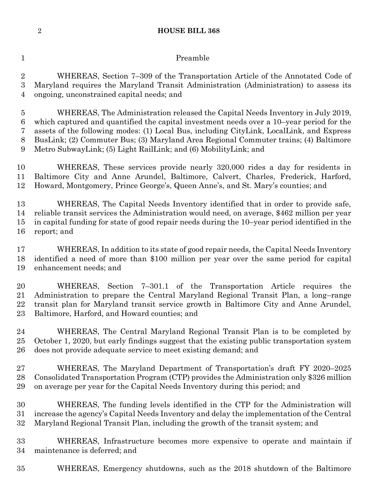#### **HOUSE BILL 368**

# 1 Preamble

 WHEREAS, Section 7–309 of the Transportation Article of the Annotated Code of Maryland requires the Maryland Transit Administration (Administration) to assess its ongoing, unconstrained capital needs; and

 WHEREAS, The Administration released the Capital Needs Inventory in July 2019, which captured and quantified the capital investment needs over a 10–year period for the assets of the following modes: (1) Local Bus, including CityLink, LocalLink, and Express BusLink; (2) Commuter Bus; (3) Maryland Area Regional Commuter trains; (4) Baltimore Metro SubwayLink; (5) Light RailLink; and (6) MobilityLink; and

 WHEREAS, These services provide nearly 320,000 rides a day for residents in Baltimore City and Anne Arundel, Baltimore, Calvert, Charles, Frederick, Harford, Howard, Montgomery, Prince George's, Queen Anne's, and St. Mary's counties; and

 WHEREAS, The Capital Needs Inventory identified that in order to provide safe, reliable transit services the Administration would need, on average, \$462 million per year in capital funding for state of good repair needs during the 10–year period identified in the report; and

 WHEREAS, In addition to its state of good repair needs, the Capital Needs Inventory identified a need of more than \$100 million per year over the same period for capital enhancement needs; and

 WHEREAS, Section 7–301.1 of the Transportation Article requires the Administration to prepare the Central Maryland Regional Transit Plan, a long–range transit plan for Maryland transit service growth in Baltimore City and Anne Arundel, Baltimore, Harford, and Howard counties; and

 WHEREAS, The Central Maryland Regional Transit Plan is to be completed by October 1, 2020, but early findings suggest that the existing public transportation system does not provide adequate service to meet existing demand; and

 WHEREAS, The Maryland Department of Transportation's draft FY 2020–2025 Consolidated Transportation Program (CTP) provides the Administration only \$326 million on average per year for the Capital Needs Inventory during this period; and

 WHEREAS, The funding levels identified in the CTP for the Administration will increase the agency's Capital Needs Inventory and delay the implementation of the Central Maryland Regional Transit Plan, including the growth of the transit system; and

 WHEREAS, Infrastructure becomes more expensive to operate and maintain if maintenance is deferred; and

WHEREAS, Emergency shutdowns, such as the 2018 shutdown of the Baltimore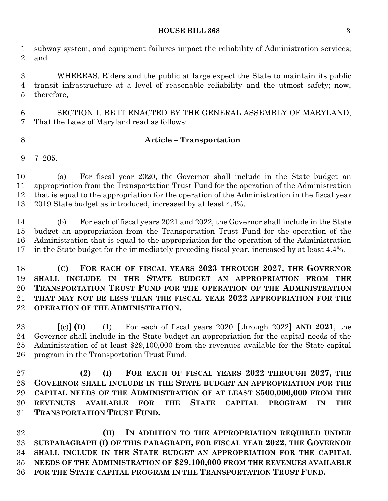#### **HOUSE BILL 368** 3

 subway system, and equipment failures impact the reliability of Administration services; and

 WHEREAS, Riders and the public at large expect the State to maintain its public transit infrastructure at a level of reasonable reliability and the utmost safety; now, therefore,

 SECTION 1. BE IT ENACTED BY THE GENERAL ASSEMBLY OF MARYLAND, That the Laws of Maryland read as follows:

### **Article – Transportation**

7–205.

 (a) For fiscal year 2020, the Governor shall include in the State budget an appropriation from the Transportation Trust Fund for the operation of the Administration that is equal to the appropriation for the operation of the Administration in the fiscal year 2019 State budget as introduced, increased by at least 4.4%.

 (b) For each of fiscal years 2021 and 2022, the Governor shall include in the State budget an appropriation from the Transportation Trust Fund for the operation of the Administration that is equal to the appropriation for the operation of the Administration in the State budget for the immediately preceding fiscal year, increased by at least 4.4%.

 **(C) FOR EACH OF FISCAL YEARS 2023 THROUGH 2027, THE GOVERNOR SHALL INCLUDE IN THE STATE BUDGET AN APPROPRIATION FROM THE TRANSPORTATION TRUST FUND FOR THE OPERATION OF THE ADMINISTRATION THAT MAY NOT BE LESS THAN THE FISCAL YEAR 2022 APPROPRIATION FOR THE OPERATION OF THE ADMINISTRATION.**

 **[**(c)**] (D)** (1) For each of fiscal years 2020 **[**through 2022**] AND 2021**, the Governor shall include in the State budget an appropriation for the capital needs of the Administration of at least \$29,100,000 from the revenues available for the State capital program in the Transportation Trust Fund.

 **(2) (I) FOR EACH OF FISCAL YEARS 2022 THROUGH 2027, THE GOVERNOR SHALL INCLUDE IN THE STATE BUDGET AN APPROPRIATION FOR THE CAPITAL NEEDS OF THE ADMINISTRATION OF AT LEAST \$500,000,000 FROM THE REVENUES AVAILABLE FOR THE STATE CAPITAL PROGRAM IN THE TRANSPORTATION TRUST FUND.**

 **(II) IN ADDITION TO THE APPROPRIATION REQUIRED UNDER SUBPARAGRAPH (I) OF THIS PARAGRAPH, FOR FISCAL YEAR 2022, THE GOVERNOR SHALL INCLUDE IN THE STATE BUDGET AN APPROPRIATION FOR THE CAPITAL NEEDS OF THE ADMINISTRATION OF \$29,100,000 FROM THE REVENUES AVAILABLE FOR THE STATE CAPITAL PROGRAM IN THE TRANSPORTATION TRUST FUND.**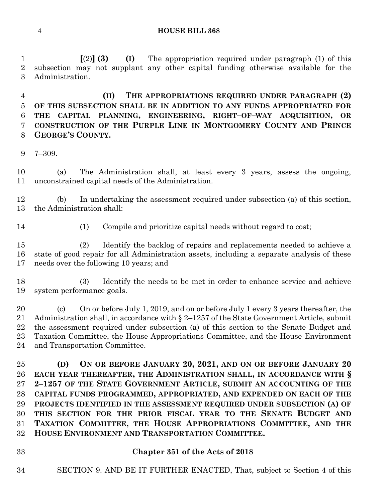**HOUSE BILL 368**

 **[**(2)**] (3) (I)** The appropriation required under paragraph (1) of this subsection may not supplant any other capital funding otherwise available for the Administration.

 **(II) THE APPROPRIATIONS REQUIRED UNDER PARAGRAPH (2) OF THIS SUBSECTION SHALL BE IN ADDITION TO ANY FUNDS APPROPRIATED FOR THE CAPITAL PLANNING, ENGINEERING, RIGHT–OF–WAY ACQUISITION, OR CONSTRUCTION OF THE PURPLE LINE IN MONTGOMERY COUNTY AND PRINCE GEORGE'S COUNTY.**

7–309.

 (a) The Administration shall, at least every 3 years, assess the ongoing, unconstrained capital needs of the Administration.

 (b) In undertaking the assessment required under subsection (a) of this section, the Administration shall:

- 
- (1) Compile and prioritize capital needs without regard to cost;

 (2) Identify the backlog of repairs and replacements needed to achieve a state of good repair for all Administration assets, including a separate analysis of these needs over the following 10 years; and

 (3) Identify the needs to be met in order to enhance service and achieve system performance goals.

 (c) On or before July 1, 2019, and on or before July 1 every 3 years thereafter, the Administration shall, in accordance with § 2–1257 of the State Government Article, submit the assessment required under subsection (a) of this section to the Senate Budget and Taxation Committee, the House Appropriations Committee, and the House Environment and Transportation Committee.

 **(D) ON OR BEFORE JANUARY 20, 2021, AND ON OR BEFORE JANUARY 20 EACH YEAR THEREAFTER, THE ADMINISTRATION SHALL, IN ACCORDANCE WITH § 2–1257 OF THE STATE GOVERNMENT ARTICLE, SUBMIT AN ACCOUNTING OF THE CAPITAL FUNDS PROGRAMMED, APPROPRIATED, AND EXPENDED ON EACH OF THE PROJECTS IDENTIFIED IN THE ASSESSMENT REQUIRED UNDER SUBSECTION (A) OF THIS SECTION FOR THE PRIOR FISCAL YEAR TO THE SENATE BUDGET AND TAXATION COMMITTEE, THE HOUSE APPROPRIATIONS COMMITTEE, AND THE HOUSE ENVIRONMENT AND TRANSPORTATION COMMITTEE.**

### **Chapter 351 of the Acts of 2018**

SECTION 9. AND BE IT FURTHER ENACTED, That, subject to Section 4 of this